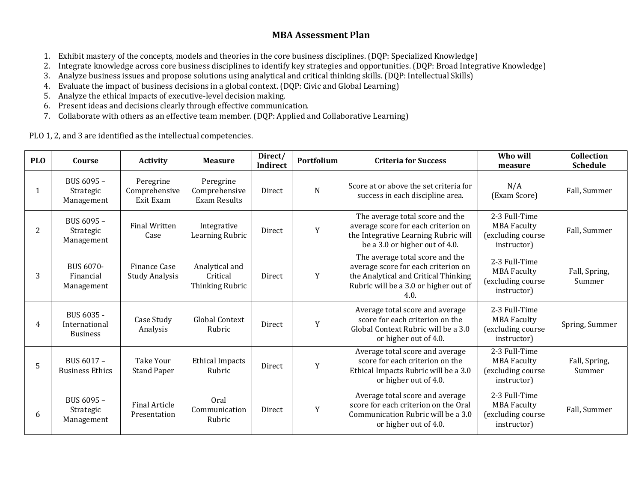# **MBA Assessment Plan**

- 1. Exhibit mastery of the concepts, models and theories in the core business disciplines. (DQP: Specialized Knowledge)
- 2. Integrate knowledge across core business disciplines to identify key strategies and opportunities. (DQP: Broad Integrative Knowledge)
- 3. Analyze business issues and propose solutions using analytical and critical thinking skills. (DQP: Intellectual Skills)
- 4. Evaluate the impact of business decisions in a global context. (DQP: Civic and Global Learning)
- 5. Analyze the ethical impacts of executive-level decision making.
- 6. Present ideas and decisions clearly through effective communication.
- 7. Collaborate with others as an effective team member. (DQP: Applied and Collaborative Learning)

PLO 1, 2, and 3 are identified as the intellectual competencies.

| <b>PLO</b> | Course                                         | <b>Activity</b>                         | <b>Measure</b>                                | Direct/<br><b>Indirect</b> | Portfolium | <b>Criteria for Success</b>                                                                                                                                     | Who will<br>measure                                                     | Collection<br><b>Schedule</b> |
|------------|------------------------------------------------|-----------------------------------------|-----------------------------------------------|----------------------------|------------|-----------------------------------------------------------------------------------------------------------------------------------------------------------------|-------------------------------------------------------------------------|-------------------------------|
| 1          | BUS 6095 -<br>Strategic<br>Management          | Peregrine<br>Comprehensive<br>Exit Exam | Peregrine<br>Comprehensive<br>Exam Results    | Direct                     | N          | Score at or above the set criteria for<br>success in each discipline area.                                                                                      | N/A<br>(Exam Score)                                                     | Fall, Summer                  |
| 2          | BUS 6095 -<br>Strategic<br>Management          | <b>Final Written</b><br>Case            | Integrative<br>Learning Rubric                | Direct                     | Y          | The average total score and the<br>average score for each criterion on<br>the Integrative Learning Rubric will<br>be a 3.0 or higher out of 4.0.                | 2-3 Full-Time<br><b>MBA Faculty</b><br>(excluding course<br>instructor) | Fall, Summer                  |
| 3          | BUS 6070-<br>Financial<br>Management           | Finance Case<br><b>Study Analysis</b>   | Analytical and<br>Critical<br>Thinking Rubric | Direct                     | Y          | The average total score and the<br>average score for each criterion on<br>the Analytical and Critical Thinking<br>Rubric will be a 3.0 or higher out of<br>4.0. | 2-3 Full-Time<br><b>MBA Faculty</b><br>(excluding course<br>instructor) | Fall, Spring,<br>Summer       |
| 4          | BUS 6035 -<br>International<br><b>Business</b> | Case Study<br>Analysis                  | Global Context<br>Rubric                      | Direct                     | Y          | Average total score and average<br>score for each criterion on the<br>Global Context Rubric will be a 3.0<br>or higher out of 4.0.                              | 2-3 Full-Time<br><b>MBA Faculty</b><br>(excluding course<br>instructor) | Spring, Summer                |
| 5          | BUS 6017 -<br><b>Business Ethics</b>           | Take Your<br><b>Stand Paper</b>         | <b>Ethical Impacts</b><br>Rubric              | Direct                     | Y          | Average total score and average<br>score for each criterion on the<br>Ethical Impacts Rubric will be a 3.0<br>or higher out of 4.0.                             | 2-3 Full-Time<br><b>MBA Faculty</b><br>(excluding course<br>instructor) | Fall, Spring,<br>Summer       |
| 6          | BUS 6095 -<br>Strategic<br>Management          | <b>Final Article</b><br>Presentation    | Oral<br>Communication<br>Rubric               | Direct                     | Y          | Average total score and average<br>score for each criterion on the Oral<br>Communication Rubric will be a 3.0<br>or higher out of 4.0.                          | 2-3 Full-Time<br><b>MBA Faculty</b><br>(excluding course<br>instructor) | Fall, Summer                  |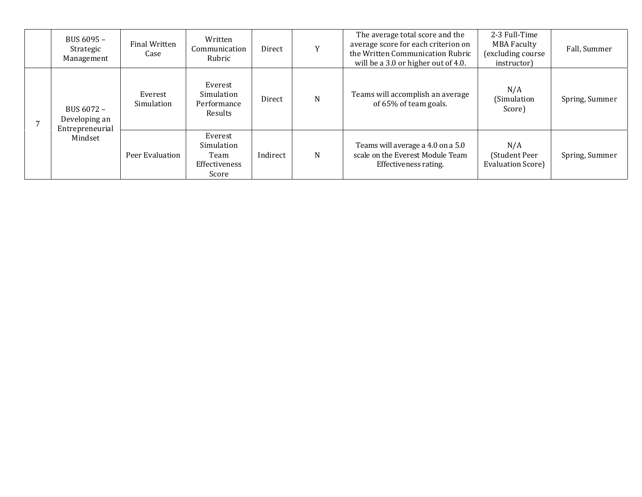| BUS 6095 -<br>Strategic<br>Management                     | Final Written<br>Case | Written<br>Communication<br>Rubric                      | Direct   | Y | The average total score and the<br>average score for each criterion on<br>the Written Communication Rubric<br>will be a 3.0 or higher out of 4.0. | 2-3 Full-Time<br><b>MBA Faculty</b><br>(excluding course<br>instructor) | Fall, Summer   |
|-----------------------------------------------------------|-----------------------|---------------------------------------------------------|----------|---|---------------------------------------------------------------------------------------------------------------------------------------------------|-------------------------------------------------------------------------|----------------|
| BUS 6072 -<br>Developing an<br>Entrepreneurial<br>Mindset | Everest<br>Simulation | Everest<br>Simulation<br>Performance<br><b>Results</b>  | Direct   | N | Teams will accomplish an average<br>of 65% of team goals.                                                                                         | N/A<br>(Simulation<br>Score)                                            | Spring, Summer |
|                                                           | Peer Evaluation       | Everest<br>Simulation<br>Team<br>Effectiveness<br>Score | Indirect | N | Teams will average a 4.0 on a 5.0<br>scale on the Everest Module Team<br>Effectiveness rating.                                                    | N/A<br>(Student Peer<br>Evaluation Score)                               | Spring, Summer |